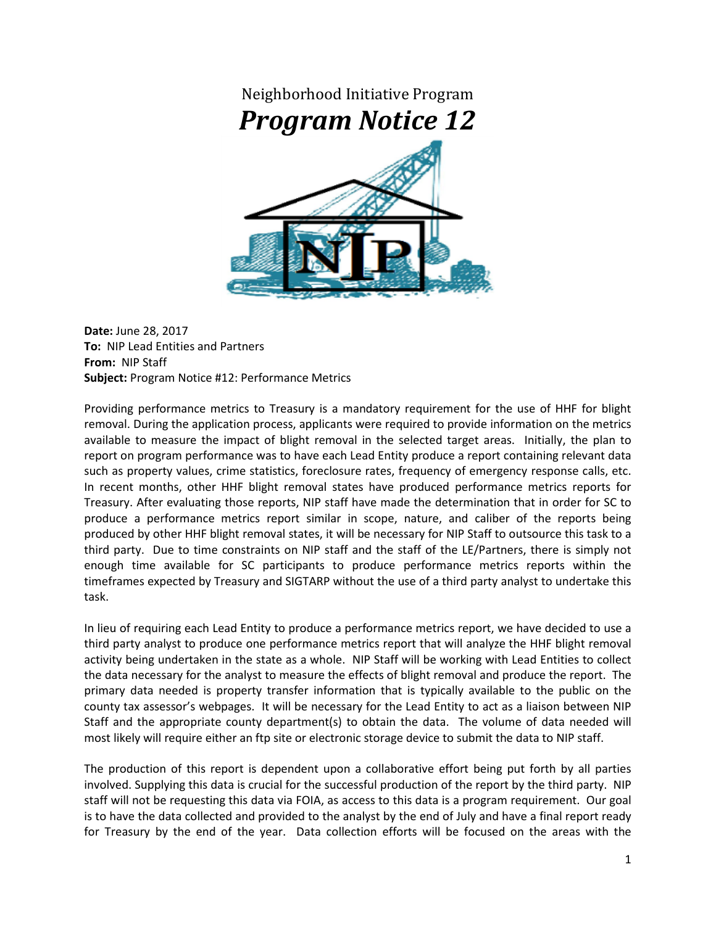

**Date:** June 28, 2017 **To:** NIP Lead Entities and Partners **From:** NIP Staff **Subject:** Program Notice #12: Performance Metrics

Providing performance metrics to Treasury is a mandatory requirement for the use of HHF for blight removal. During the application process, applicants were required to provide information on the metrics available to measure the impact of blight removal in the selected target areas. Initially, the plan to report on program performance was to have each Lead Entity produce a report containing relevant data such as property values, crime statistics, foreclosure rates, frequency of emergency response calls, etc. In recent months, other HHF blight removal states have produced performance metrics reports for Treasury. After evaluating those reports, NIP staff have made the determination that in order for SC to produce a performance metrics report similar in scope, nature, and caliber of the reports being produced by other HHF blight removal states, it will be necessary for NIP Staff to outsource this task to a third party. Due to time constraints on NIP staff and the staff of the LE/Partners, there is simply not enough time available for SC participants to produce performance metrics reports within the timeframes expected by Treasury and SIGTARP without the use of a third party analyst to undertake this task.

In lieu of requiring each Lead Entity to produce a performance metrics report, we have decided to use a third party analyst to produce one performance metrics report that will analyze the HHF blight removal activity being undertaken in the state as a whole. NIP Staff will be working with Lead Entities to collect the data necessary for the analyst to measure the effects of blight removal and produce the report. The primary data needed is property transfer information that is typically available to the public on the county tax assessor's webpages. It will be necessary for the Lead Entity to act as a liaison between NIP Staff and the appropriate county department(s) to obtain the data. The volume of data needed will most likely will require either an ftp site or electronic storage device to submit the data to NIP staff.

The production of this report is dependent upon a collaborative effort being put forth by all parties involved. Supplying this data is crucial for the successful production of the report by the third party. NIP staff will not be requesting this data via FOIA, as access to this data is a program requirement. Our goal is to have the data collected and provided to the analyst by the end of July and have a final report ready for Treasury by the end of the year. Data collection efforts will be focused on the areas with the